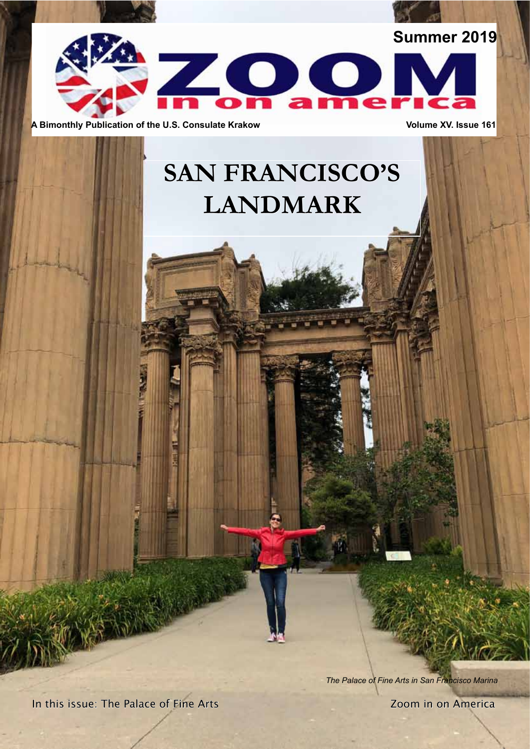

**A Bimonthly Publication of the U.S. Consulate Krakow <b>Volume XV. Issue 161** Volume XV. Issue 161

# **SAN FRANCISCO'S LANDMARK**

**Window** 

*The Palace of Fine Arts in San Francisco Marina*

In this issue: The Palace of Fine Arts **In the Intervention Communist Palace of Fine Arts** Zoom in on America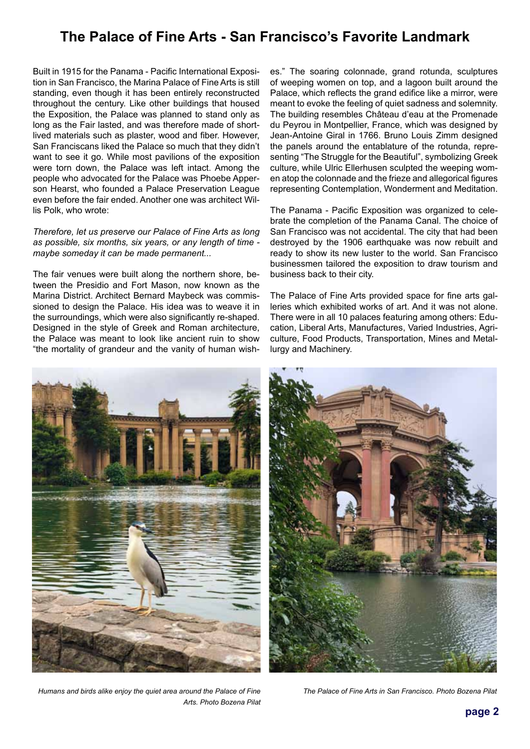### **The Palace of Fine Arts - San Francisco's Favorite Landmark**

Built in 1915 for the Panama - Pacific International Exposition in San Francisco, the Marina Palace of Fine Arts is still standing, even though it has been entirely reconstructed throughout the century. Like other buildings that housed the Exposition, the Palace was planned to stand only as long as the Fair lasted, and was therefore made of shortlived materials such as plaster, wood and fiber. However, San Franciscans liked the Palace so much that they didn't want to see it go. While most pavilions of the exposition were torn down, the Palace was left intact. Among the people who advocated for the Palace was Phoebe Apperson Hearst, who founded a Palace Preservation League even before the fair ended. Another one was architect Willis Polk, who wrote:

*Therefore, let us preserve our Palace of Fine Arts as long as possible, six months, six years, or any length of time maybe someday it can be made permanent...* 

The fair venues were built along the northern shore, between the Presidio and Fort Mason, now known as the Marina District. Architect Bernard Maybeck was commissioned to design the Palace. His idea was to weave it in the surroundings, which were also significantly re-shaped. Designed in the style of Greek and Roman architecture, the Palace was meant to look like ancient ruin to show "the mortality of grandeur and the vanity of human wish-

es." The soaring colonnade, grand rotunda, sculptures of weeping women on top, and a lagoon built around the Palace, which reflects the grand edifice like a mirror, were meant to evoke the feeling of quiet sadness and solemnity. The building resembles Château d'eau at the Promenade du Peyrou in Montpellier, France, which was designed by Jean-Antoine Giral in 1766. Bruno Louis Zimm designed the panels around the entablature of the rotunda, representing "The Struggle for the Beautiful", symbolizing Greek culture, while Ulric Ellerhusen sculpted the weeping women atop the colonnade and the frieze and allegorical figures representing Contemplation, Wonderment and Meditation.

The Panama - Pacific Exposition was organized to celebrate the completion of the Panama Canal. The choice of San Francisco was not accidental. The city that had been destroyed by the 1906 earthquake was now rebuilt and ready to show its new luster to the world. San Francisco businessmen tailored the exposition to draw tourism and business back to their city.

The Palace of Fine Arts provided space for fine arts galleries which exhibited works of art. And it was not alone. There were in all 10 palaces featuring among others: Education, Liberal Arts, Manufactures, Varied Industries, Agriculture, Food Products, Transportation, Mines and Metallurgy and Machinery.



*Humans and birds alike enjoy the quiet area around the Palace of Fine Arts. Photo Bozena Pilat* 



*The Palace of Fine Arts in San Francisco. Photo Bozena Pilat*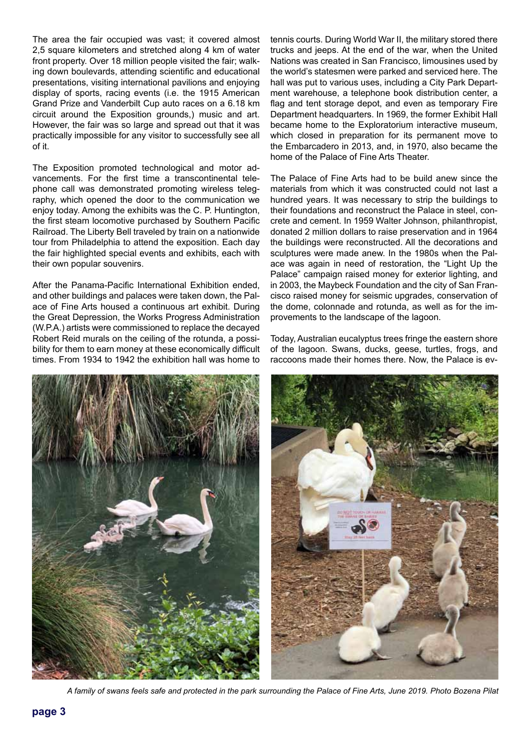The area the fair occupied was vast; it covered almost 2,5 square kilometers and stretched along 4 km of water front property. Over 18 million people visited the fair; walking down boulevards, attending scientific and educational presentations, visiting international pavilions and enjoying display of sports, racing events (i.e. the 1915 American Grand Prize and Vanderbilt Cup auto races on a 6.18 km circuit around the Exposition grounds,) music and art. However, the fair was so large and spread out that it was practically impossible for any visitor to successfully see all of it.

The Exposition promoted technological and motor advancements. For the first time a transcontinental telephone call was demonstrated promoting wireless telegraphy, which opened the door to the communication we enjoy today. Among the exhibits was the C. P. Huntington, the first steam locomotive purchased by Southern Pacific Railroad. The Liberty Bell traveled by train on a nationwide tour from Philadelphia to attend the exposition. Each day the fair highlighted special events and exhibits, each with their own popular souvenirs.

After the Panama-Pacific International Exhibition ended, and other buildings and palaces were taken down, the Palace of Fine Arts housed a continuous art exhibit. During the Great Depression, the Works Progress Administration (W.P.A.) artists were commissioned to replace the decayed Robert Reid murals on the ceiling of the rotunda, a possibility for them to earn money at these economically difficult times. From 1934 to 1942 the exhibition hall was home to

tennis courts. During World War II, the military stored there trucks and jeeps. At the end of the war, when the United Nations was created in San Francisco, limousines used by the world's statesmen were parked and serviced here. The hall was put to various uses, including a City Park Department warehouse, a telephone book distribution center, a flag and tent storage depot, and even as temporary Fire Department headquarters. In 1969, the former Exhibit Hall became home to the Exploratorium interactive museum, which closed in preparation for its permanent move to the Embarcadero in 2013, and, in 1970, also became the home of the Palace of Fine Arts Theater.

The Palace of Fine Arts had to be build anew since the materials from which it was constructed could not last a hundred years. It was necessary to strip the buildings to their foundations and reconstruct the Palace in steel, concrete and cement. In 1959 Walter Johnson, philanthropist, donated 2 million dollars to raise preservation and in 1964 the buildings were reconstructed. All the decorations and sculptures were made anew. In the 1980s when the Palace was again in need of restoration, the "Light Up the Palace" campaign raised money for exterior lighting, and in 2003, the Maybeck Foundation and the city of San Francisco raised money for seismic upgrades, conservation of the dome, colonnade and rotunda, as well as for the improvements to the landscape of the lagoon.

Today, Australian eucalyptus trees fringe the eastern shore of the lagoon. Swans, ducks, geese, turtles, frogs, and raccoons made their homes there. Now, the Palace is ev-



*A family of swans feels safe and protected in the park surrounding the Palace of Fine Arts, June 2019. Photo Bozena Pilat*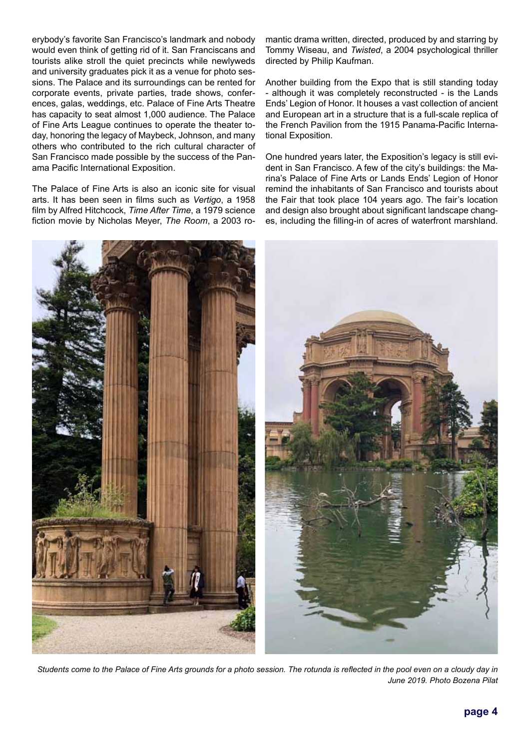erybody's favorite San Francisco's landmark and nobody would even think of getting rid of it. San Franciscans and tourists alike stroll the quiet precincts while newlyweds and university graduates pick it as a venue for photo sessions. The Palace and its surroundings can be rented for corporate events, private parties, trade shows, conferences, galas, weddings, etc. Palace of Fine Arts Theatre has capacity to seat almost 1,000 audience. The Palace of Fine Arts League continues to operate the theater today, honoring the legacy of Maybeck, Johnson, and many others who contributed to the rich cultural character of San Francisco made possible by the success of the Panama Pacific International Exposition.

The Palace of Fine Arts is also an iconic site for visual arts. It has been seen in films such as *Vertigo*, a 1958 film by Alfred Hitchcock, *Time After Time*, a 1979 science fiction movie by Nicholas Meyer, *The Room*, a 2003 romantic drama written, directed, produced by and starring by Tommy Wiseau, and *Twisted*, a 2004 psychological thriller directed by Philip Kaufman.

Another building from the Expo that is still standing today - although it was completely reconstructed - is the Lands Ends' Legion of Honor. It houses a vast collection of ancient and European art in a structure that is a full-scale replica of the French Pavilion from the 1915 Panama-Pacific International Exposition.

One hundred years later, the Exposition's legacy is still evident in San Francisco. A few of the city's buildings: the Marina's Palace of Fine Arts or Lands Ends' Legion of Honor remind the inhabitants of San Francisco and tourists about the Fair that took place 104 years ago. The fair's location and design also brought about significant landscape changes, including the filling-in of acres of waterfront marshland.



*Students come to the Palace of Fine Arts grounds for a photo session. The rotunda is reflected in the pool even on a cloudy day in June 2019. Photo Bozena Pilat*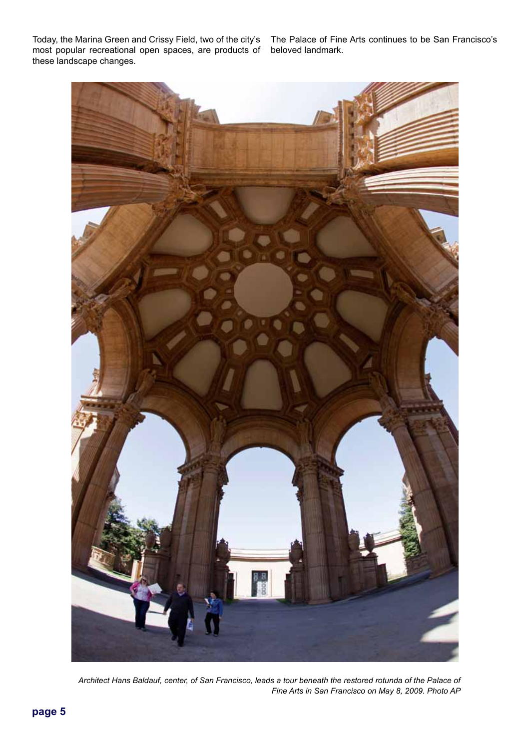Today, the Marina Green and Crissy Field, two of the city's The Palace of Fine Arts continues to be San Francisco's most popular recreational open spaces, are products of beloved landmark. these landscape changes.



*Architect Hans Baldauf, center, of San Francisco, leads a tour beneath the restored rotunda of the Palace of Fine Arts in San Francisco on May 8, 2009. Photo AP*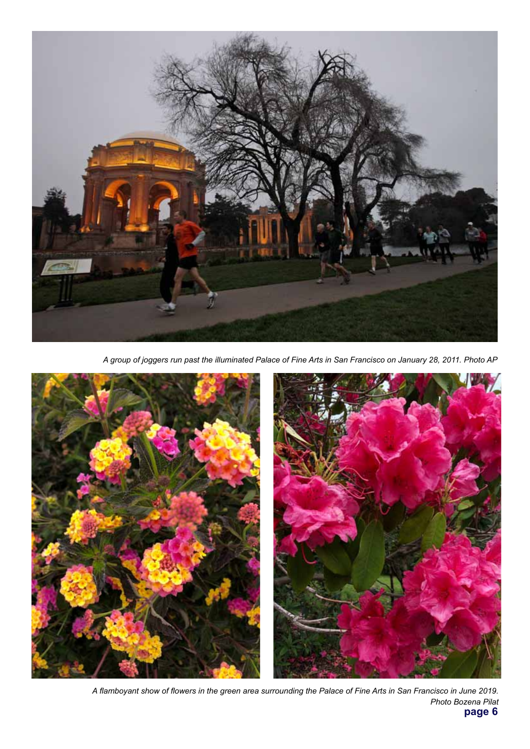

*A group of joggers run past the illuminated Palace of Fine Arts in San Francisco on January 28, 2011. Photo AP*



**page 6** *A flamboyant show of flowers in the green area surrounding the Palace of Fine Arts in San Francisco in June 2019. Photo Bozena Pilat*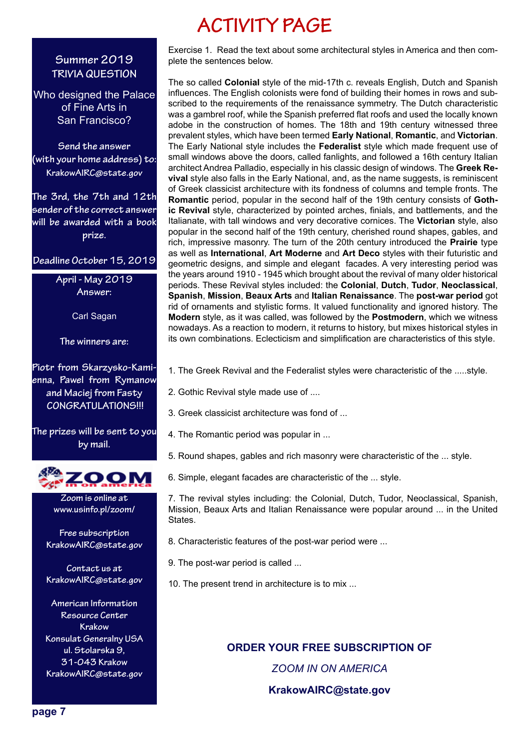## **ACTIVITY PAGE**

#### **Summer 2019 TRIVIA QUESTION**

Who designed the Palace of Fine Arts in San Francisco?

**Send the answer (with your home address) to: KrakowAIRC@state.gov**

**The 3rd, the 7th and 12th sender of the correct answer will be awarded with a book prize.** 

**Deadline October 15, 2019**

**April - May 2019 Answer:** 

Carl Sagan

**The winners are:**

**Piotr from Skarzysko-Kamienna, Pawel from Rymanow and Maciej from Fasty CONGRATULATIONS!!!**

**The prizes will be sent to you by mail.**



**Zoom is online at www.usinfo.pl/zoom/**

**Free subscription KrakowAIRC@state.gov**

**Contact us at KrakowAIRC@state.gov**

**American Information Resource Center Krakow Konsulat Generalny USA ul. Stolarska 9, 31-043 Krakow KrakowAIRC@state.gov**

Exercise 1. Read the text about some architectural styles in America and then complete the sentences below.

The so called **Colonial** style of the mid-17th c. reveals English, Dutch and Spanish influences. The English colonists were fond of building their homes in rows and subscribed to the requirements of the renaissance symmetry. The Dutch characteristic was a gambrel roof, while the Spanish preferred flat roofs and used the locally known adobe in the construction of homes. The 18th and 19th century witnessed three prevalent styles, which have been termed **Early National**, **Romantic**, and **Victorian**. The Early National style includes the **Federalist** style which made frequent use of small windows above the doors, called fanlights, and followed a 16th century Italian architect Andrea Palladio, especially in his classic design of windows. The **Greek Revival** style also falls in the Early National, and, as the name suggests, is reminiscent of Greek classicist architecture with its fondness of columns and temple fronts. The **Romantic** period, popular in the second half of the 19th century consists of **Gothic Revival** style, characterized by pointed arches, finials, and battlements, and the Italianate, with tall windows and very decorative cornices. The **Victorian** style, also popular in the second half of the 19th century, cherished round shapes, gables, and rich, impressive masonry. The turn of the 20th century introduced the **Prairie** type as well as **International**, **Art Moderne** and **Art Deco** styles with their futuristic and geometric designs, and simple and elegant facades. A very interesting period was the years around 1910 - 1945 which brought about the revival of many older historical periods. These Revival styles included: the **Colonial**, **Dutch**, **Tudor**, **Neoclassical**, **Spanish**, **Mission**, **Beaux Arts** and **Italian Renaissance**. The **post-war period** got rid of ornaments and stylistic forms. It valued functionality and ignored history. The **Modern** style, as it was called, was followed by the **Postmodern**, which we witness nowadays. As a reaction to modern, it returns to history, but mixes historical styles in its own combinations. Eclecticism and simplification are characteristics of this style.

1. The Greek Revival and the Federalist styles were characteristic of the .....style.

- 2. Gothic Revival style made use of ....
- 3. Greek classicist architecture was fond of ...
- 4. The Romantic period was popular in ...
- 5. Round shapes, gables and rich masonry were characteristic of the ... style.
- 6. Simple, elegant facades are characteristic of the ... style.

7. The revival styles including: the Colonial, Dutch, Tudor, Neoclassical, Spanish, Mission, Beaux Arts and Italian Renaissance were popular around ... in the United States.

- 8. Characteristic features of the post-war period were ...
- 9. The post-war period is called ...
- 10. The present trend in architecture is to mix ...

**ORDER YOUR FREE SUBSCRIPTION OF** *ZOOM IN ON AMERICA* **KrakowAIRC@state.gov**